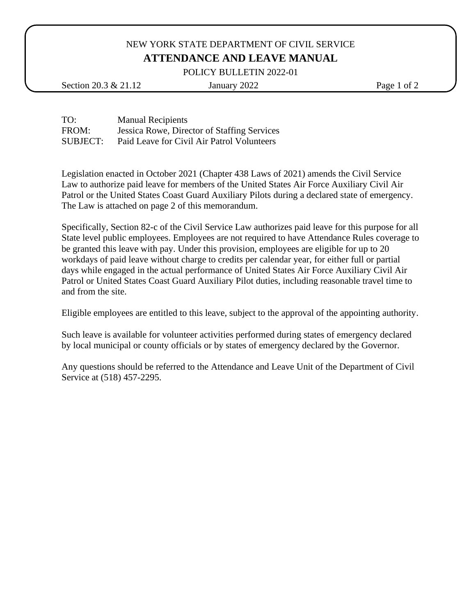## NEW YORK STATE DEPARTMENT OF CIVIL SERVICE **ATTENDANCE AND LEAVE MANUAL**

POLICY BULLETIN 2022-01

Section 20.3 & 21.12 January 2022 Page 1 of 2

TO: Manual Recipients FROM: Jessica Rowe, Director of Staffing Services SUBJECT: Paid Leave for Civil Air Patrol Volunteers

Legislation enacted in October 2021 (Chapter 438 Laws of 2021) amends the Civil Service Law to authorize paid leave for members of the United States Air Force Auxiliary Civil Air Patrol or the United States Coast Guard Auxiliary Pilots during a declared state of emergency. The Law is attached on page 2 of this memorandum.

Specifically, Section 82-c of the Civil Service Law authorizes paid leave for this purpose for all State level public employees. Employees are not required to have Attendance Rules coverage to be granted this leave with pay. Under this provision, employees are eligible for up to 20 workdays of paid leave without charge to credits per calendar year, for either full or partial days while engaged in the actual performance of United States Air Force Auxiliary Civil Air Patrol or United States Coast Guard Auxiliary Pilot duties, including reasonable travel time to and from the site.

Eligible employees are entitled to this leave, subject to the approval of the appointing authority.

Such leave is available for volunteer activities performed during states of emergency declared by local municipal or county officials or by states of emergency declared by the Governor.

Any questions should be referred to the Attendance and Leave Unit of the Department of Civil Service at (518) 457-2295.